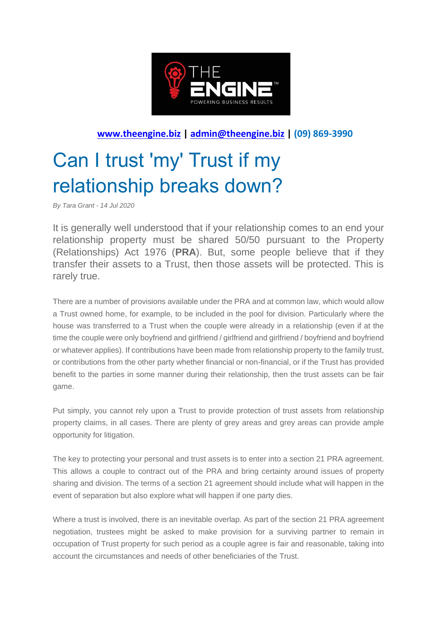

## **[www.theengine.biz](http://www.theengine.biz/) | [admin@theengine.biz](mailto:admin@theengine.biz) | (09) 869-3990**

## Can I trust 'my' Trust if my relationship breaks down?

*By Tara Grant - 14 Jul 2020*

It is generally well understood that if your relationship comes to an end your relationship property must be shared 50/50 pursuant to the Property (Relationships) Act 1976 (**PRA**). But, some people believe that if they transfer their assets to a Trust, then those assets will be protected. This is rarely true.

There are a number of provisions available under the PRA and at common law, which would allow a Trust owned home, for example, to be included in the pool for division. Particularly where the house was transferred to a Trust when the couple were already in a relationship (even if at the time the couple were only boyfriend and girlfriend / girlfriend and girlfriend / boyfriend and boyfriend or whatever applies). If contributions have been made from relationship property to the family trust, or contributions from the other party whether financial or non-financial, or if the Trust has provided benefit to the parties in some manner during their relationship, then the trust assets can be fair game.

Put simply, you cannot rely upon a Trust to provide protection of trust assets from relationship property claims, in all cases. There are plenty of grey areas and grey areas can provide ample opportunity for litigation.

The key to protecting your personal and trust assets is to enter into a section 21 PRA agreement. This allows a couple to contract out of the PRA and bring certainty around issues of property sharing and division. The terms of a section 21 agreement should include what will happen in the event of separation but also explore what will happen if one party dies.

Where a trust is involved, there is an inevitable overlap. As part of the section 21 PRA agreement negotiation, trustees might be asked to make provision for a surviving partner to remain in occupation of Trust property for such period as a couple agree is fair and reasonable, taking into account the circumstances and needs of other beneficiaries of the Trust.